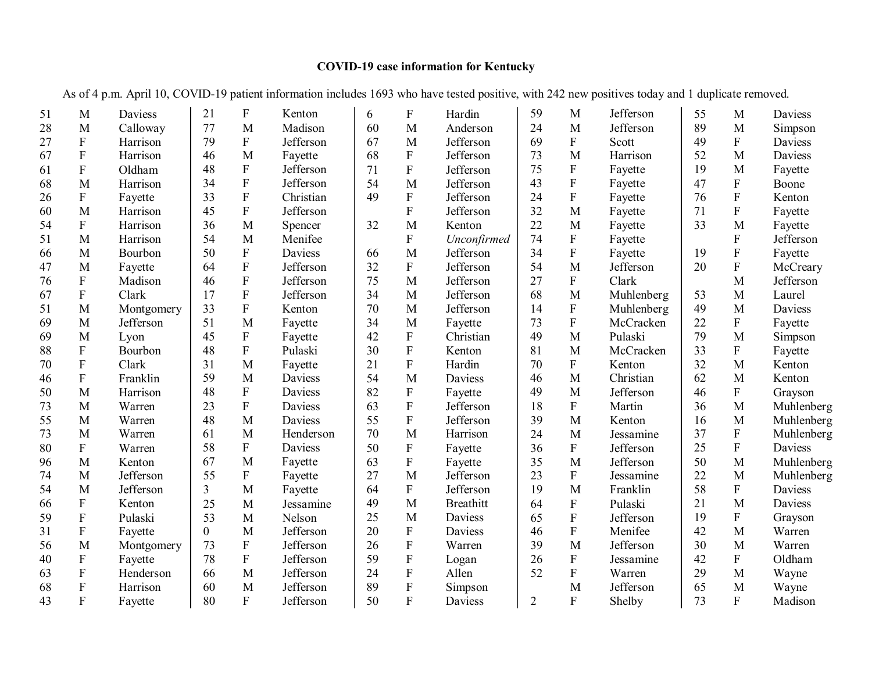## **COVID-19 case information for Kentucky**

As of 4 p.m. April 10, COVID-19 patient information includes 1693 who have tested positive, with 242 new positives today and 1 duplicate removed.

| 51 | M                         | Daviess    | 21             | ${\bf F}$                 | Kenton         | 6  | F           | Hardin           | 59             | M                         | Jefferson  | 55 | M                         | Daviess        |
|----|---------------------------|------------|----------------|---------------------------|----------------|----|-------------|------------------|----------------|---------------------------|------------|----|---------------------------|----------------|
| 28 | M                         | Calloway   | 77             | M                         | Madison        | 60 | M           | Anderson         | 24             | M                         | Jefferson  | 89 | M                         | Simpson        |
| 27 | ${\bf F}$                 | Harrison   | 79             | ${\bf F}$                 | Jefferson      | 67 | M           | Jefferson        | 69             | ${\bf F}$                 | Scott      | 49 | ${\bf F}$                 | Daviess        |
| 67 | ${\bf F}$                 | Harrison   | 46             | M                         | Fayette        | 68 | F           | Jefferson        | 73             | M                         | Harrison   | 52 | M                         | Daviess        |
| 61 | $\boldsymbol{\mathrm{F}}$ | Oldham     | 48             | $\boldsymbol{\mathrm{F}}$ | Jefferson      | 71 | $\mathbf F$ | Jefferson        | 75             | ${\bf F}$                 | Fayette    | 19 | M                         | Fayette        |
| 68 | M                         | Harrison   | 34             | ${\bf F}$                 | Jefferson      | 54 | M           | Jefferson        | 43             | $\rm F$                   | Fayette    | 47 | $\overline{F}$            | Boone          |
| 26 | ${\bf F}$                 | Fayette    | 33             | $\boldsymbol{\mathrm{F}}$ | Christian      | 49 | ${\bf F}$   | Jefferson        | 24             | ${\bf F}$                 | Fayette    | 76 | ${\bf F}$                 | Kenton         |
| 60 | M                         | Harrison   | 45             | ${\bf F}$                 | Jefferson      |    | $\mathbf F$ | Jefferson        | 32             | $\mathbf M$               | Fayette    | 71 | ${\bf F}$                 | Fayette        |
| 54 | $\mathbf{F}$              | Harrison   | 36             | M                         | Spencer        | 32 | M           | Kenton           | 22             | M                         | Fayette    | 33 | M                         | Fayette        |
| 51 | M                         | Harrison   | 54             | M                         | Menifee        |    | ${\bf F}$   | Unconfirmed      | 74             | $\boldsymbol{\mathrm{F}}$ | Fayette    |    | ${\bf F}$                 | Jefferson      |
| 66 | M                         | Bourbon    | 50             | ${\bf F}$                 | Daviess        | 66 | M           | Jefferson        | 34             | $\rm F$                   | Fayette    | 19 | ${\bf F}$                 | Fayette        |
| 47 | M                         | Fayette    | 64             | $\boldsymbol{\mathrm{F}}$ | Jefferson      | 32 | ${\bf F}$   | Jefferson        | 54             | M                         | Jefferson  | 20 | $\boldsymbol{\mathrm{F}}$ | McCreary       |
| 76 | ${\bf F}$                 | Madison    | 46             | $\boldsymbol{\mathrm{F}}$ | Jefferson      | 75 | M           | Jefferson        | 27             | $\mathbf F$               | Clark      |    | M                         | Jefferson      |
| 67 | $\rm F$                   | Clark      | 17             | ${\bf F}$                 | Jefferson      | 34 | M           | Jefferson        | 68             | M                         | Muhlenberg | 53 | M                         | Laurel         |
| 51 | M                         | Montgomery | 33             | $\overline{F}$            | Kenton         | 70 | M           | Jefferson        | 14             | $\mathbf F$               | Muhlenberg | 49 | M                         | <b>Daviess</b> |
| 69 | M                         | Jefferson  | 51             | M                         | Fayette        | 34 | M           | Fayette          | 73             | $\mathbf F$               | McCracken  | 22 | ${\bf F}$                 | Fayette        |
| 69 | M                         | Lyon       | 45             | ${\bf F}$                 | Fayette        | 42 | ${\bf F}$   | Christian        | 49             | $\mathbf M$               | Pulaski    | 79 | M                         | Simpson        |
| 88 | ${\bf F}$                 | Bourbon    | 48             | $\overline{F}$            | Pulaski        | 30 | F           | Kenton           | 81             | M                         | McCracken  | 33 | $\mathbf{F}$              | Fayette        |
| 70 | ${\bf F}$                 | Clark      | 31             | M                         | Fayette        | 21 | ${\bf F}$   | Hardin           | 70             | $\boldsymbol{\mathrm{F}}$ | Kenton     | 32 | M                         | Kenton         |
| 46 | ${\bf F}$                 | Franklin   | 59             | M                         | Daviess        | 54 | M           | Daviess          | 46             | M                         | Christian  | 62 | M                         | Kenton         |
| 50 | M                         | Harrison   | 48             | ${\bf F}$                 | <b>Daviess</b> | 82 | ${\bf F}$   | Fayette          | 49             | M                         | Jefferson  | 46 | $\mathbf{F}$              | Grayson        |
| 73 | M                         | Warren     | 23             | ${\bf F}$                 | Daviess        | 63 | ${\bf F}$   | Jefferson        | 18             | F                         | Martin     | 36 | M                         | Muhlenberg     |
| 55 | M                         | Warren     | 48             | M                         | Daviess        | 55 | $\rm F$     | Jefferson        | 39             | M                         | Kenton     | 16 | M                         | Muhlenberg     |
| 73 | M                         | Warren     | 61             | M                         | Henderson      | 70 | M           | Harrison         | 24             | M                         | Jessamine  | 37 | ${\bf F}$                 | Muhlenberg     |
| 80 | ${\bf F}$                 | Warren     | 58             | ${\bf F}$                 | <b>Daviess</b> | 50 | ${\bf F}$   | Fayette          | 36             | $\mathbf F$               | Jefferson  | 25 | ${\bf F}$                 | Daviess        |
| 96 | M                         | Kenton     | 67             | M                         | Fayette        | 63 | ${\bf F}$   | Fayette          | 35             | M                         | Jefferson  | 50 | M                         | Muhlenberg     |
| 74 | M                         | Jefferson  | 55             | ${\bf F}$                 | Fayette        | 27 | M           | Jefferson        | 23             | ${\bf F}$                 | Jessamine  | 22 | M                         | Muhlenberg     |
| 54 | M                         | Jefferson  | $\overline{3}$ | M                         | Fayette        | 64 | ${\bf F}$   | Jefferson        | 19             | M                         | Franklin   | 58 | ${\bf F}$                 | <b>Daviess</b> |
| 66 | $\rm F$                   | Kenton     | 25             | M                         | Jessamine      | 49 | M           | <b>Breathitt</b> | 64             | ${\bf F}$                 | Pulaski    | 21 | M                         | <b>Daviess</b> |
| 59 | $\mathbf{F}$              | Pulaski    | 53             | M                         | Nelson         | 25 | M           | Daviess          | 65             | ${\bf F}$                 | Jefferson  | 19 | ${\bf F}$                 | Grayson        |
| 31 | ${\bf F}$                 | Fayette    | $\overline{0}$ | M                         | Jefferson      | 20 | ${\bf F}$   | Daviess          | 46             | ${\bf F}$                 | Menifee    | 42 | M                         | Warren         |
| 56 | M                         | Montgomery | 73             | ${\bf F}$                 | Jefferson      | 26 | ${\bf F}$   | Warren           | 39             | M                         | Jefferson  | 30 | M                         | Warren         |
| 40 | ${\bf F}$                 | Fayette    | 78             | ${\bf F}$                 | Jefferson      | 59 | ${\bf F}$   | Logan            | 26             | ${\bf F}$                 | Jessamine  | 42 | $\mathbf{F}$              | Oldham         |
| 63 | ${\bf F}$                 | Henderson  | 66             | M                         | Jefferson      | 24 | ${\bf F}$   | Allen            | 52             | ${\bf F}$                 | Warren     | 29 | M                         | Wayne          |
| 68 | $\boldsymbol{\mathrm{F}}$ | Harrison   | 60             | M                         | Jefferson      | 89 | ${\bf F}$   | Simpson          |                | M                         | Jefferson  | 65 | M                         | Wayne          |
| 43 | $\overline{F}$            | Fayette    | 80             | $\overline{F}$            | Jefferson      | 50 | F           | Daviess          | $\overline{2}$ | $\mathbf F$               | Shelby     | 73 | $\overline{F}$            | Madison        |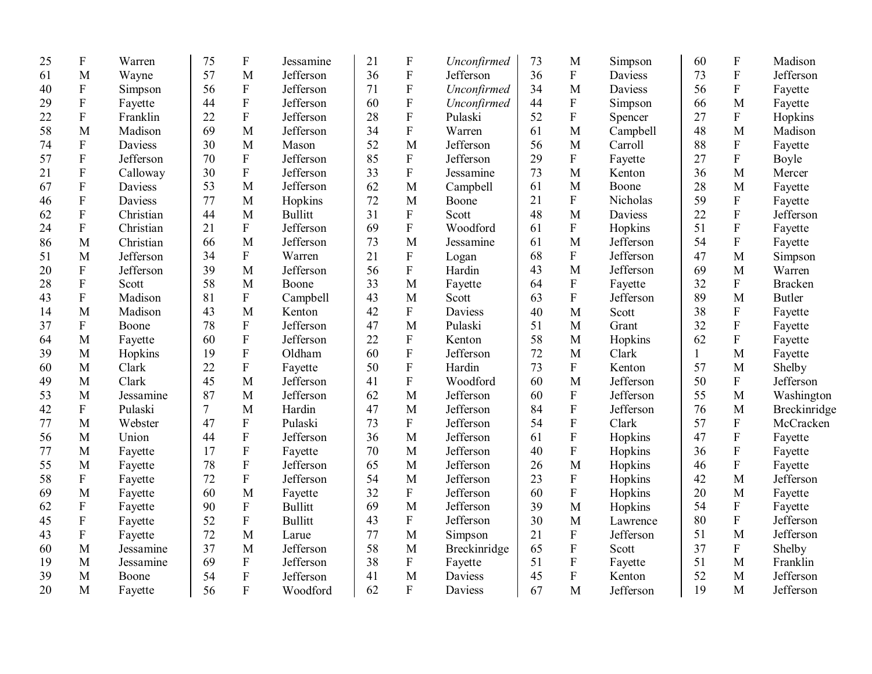| 25 | ${\bf F}$                 | Warren    | 75             | ${\bf F}$                 | Jessamine      | 21 | $\boldsymbol{\mathrm{F}}$ | Unconfirmed  | 73 | M                         | Simpson        | 60 | $\boldsymbol{\mathrm{F}}$ | Madison        |
|----|---------------------------|-----------|----------------|---------------------------|----------------|----|---------------------------|--------------|----|---------------------------|----------------|----|---------------------------|----------------|
| 61 | M                         | Wayne     | 57             | M                         | Jefferson      | 36 | ${\bf F}$                 | Jefferson    | 36 | $\mathbf F$               | <b>Daviess</b> | 73 | $\boldsymbol{\mathrm{F}}$ | Jefferson      |
| 40 | ${\bf F}$                 | Simpson   | 56             | $\boldsymbol{\mathrm{F}}$ | Jefferson      | 71 | ${\bf F}$                 | Unconfirmed  | 34 | M                         | Daviess        | 56 | ${\bf F}$                 | Fayette        |
| 29 | ${\bf F}$                 | Fayette   | 44             | ${\bf F}$                 | Jefferson      | 60 | ${\bf F}$                 | Unconfirmed  | 44 | ${\bf F}$                 | Simpson        | 66 | M                         | Fayette        |
| 22 | ${\bf F}$                 | Franklin  | 22             | ${\bf F}$                 | Jefferson      | 28 | ${\bf F}$                 | Pulaski      | 52 | ${\bf F}$                 | Spencer        | 27 | $\rm F$                   | Hopkins        |
| 58 | M                         | Madison   | 69             | M                         | Jefferson      | 34 | ${\bf F}$                 | Warren       | 61 | M                         | Campbell       | 48 | M                         | Madison        |
| 74 | ${\bf F}$                 | Daviess   | 30             | M                         | Mason          | 52 | M                         | Jefferson    | 56 | M                         | Carroll        | 88 | ${\bf F}$                 | Fayette        |
| 57 | ${\bf F}$                 | Jefferson | 70             | ${\bf F}$                 | Jefferson      | 85 | ${\bf F}$                 | Jefferson    | 29 | $\mathbf F$               | Fayette        | 27 | ${\bf F}$                 | Boyle          |
| 21 | $\mathbf F$               | Calloway  | 30             | $\rm F$                   | Jefferson      | 33 | $\mathbf F$               | Jessamine    | 73 | $\mathbf{M}$              | Kenton         | 36 | M                         | Mercer         |
| 67 | ${\bf F}$                 | Daviess   | 53             | M                         | Jefferson      | 62 | M                         | Campbell     | 61 | $\mathbf{M}$              | Boone          | 28 | M                         | Fayette        |
| 46 | ${\bf F}$                 | Daviess   | 77             | M                         | Hopkins        | 72 | M                         | Boone        | 21 | ${\bf F}$                 | Nicholas       | 59 | ${\bf F}$                 | Fayette        |
| 62 | $\mathbf F$               | Christian | 44             | M                         | <b>Bullitt</b> | 31 | ${\bf F}$                 | Scott        | 48 | M                         | <b>Daviess</b> | 22 | ${\bf F}$                 | Jefferson      |
| 24 | $\mathbf F$               | Christian | 21             | $\boldsymbol{\mathrm{F}}$ | Jefferson      | 69 | $\mathbf F$               | Woodford     | 61 | $\mathbf F$               | Hopkins        | 51 | ${\bf F}$                 | Fayette        |
| 86 | M                         | Christian | 66             | M                         | Jefferson      | 73 | M                         | Jessamine    | 61 | M                         | Jefferson      | 54 | ${\bf F}$                 | Fayette        |
| 51 | M                         | Jefferson | 34             | ${\bf F}$                 | Warren         | 21 | ${\bf F}$                 | Logan        | 68 | $\mathbf F$               | Jefferson      | 47 | M                         | Simpson        |
| 20 | ${\bf F}$                 | Jefferson | 39             | M                         | Jefferson      | 56 | ${\bf F}$                 | Hardin       | 43 | M                         | Jefferson      | 69 | M                         | Warren         |
| 28 | ${\bf F}$                 | Scott     | 58             | M                         | Boone          | 33 | M                         | Fayette      | 64 | $\boldsymbol{\mathrm{F}}$ | Fayette        | 32 | ${\bf F}$                 | <b>Bracken</b> |
| 43 | ${\bf F}$                 | Madison   | 81             | ${\bf F}$                 | Campbell       | 43 | M                         | Scott        | 63 | ${\bf F}$                 | Jefferson      | 89 | M                         | <b>Butler</b>  |
| 14 | M                         | Madison   | 43             | M                         | Kenton         | 42 | ${\bf F}$                 | Daviess      | 40 | M                         | Scott          | 38 | ${\bf F}$                 | Fayette        |
| 37 | $\mathbf{F}$              | Boone     | 78             | ${\bf F}$                 | Jefferson      | 47 | M                         | Pulaski      | 51 | M                         | Grant          | 32 | $\overline{F}$            | Fayette        |
| 64 | M                         | Fayette   | 60             | ${\bf F}$                 | Jefferson      | 22 | ${\bf F}$                 | Kenton       | 58 | $\mathbf{M}$              | Hopkins        | 62 | $\overline{F}$            | Fayette        |
| 39 | $\mathbf{M}$              | Hopkins   | 19             | ${\bf F}$                 | Oldham         | 60 | $\overline{F}$            | Jefferson    | 72 | $\mathbf{M}$              | Clark          | 1  | M                         | Fayette        |
| 60 | M                         | Clark     | 22             | ${\bf F}$                 | Fayette        | 50 | ${\bf F}$                 | Hardin       | 73 | ${\bf F}$                 | Kenton         | 57 | M                         | Shelby         |
| 49 | M                         | Clark     | 45             | M                         | Jefferson      | 41 | ${\bf F}$                 | Woodford     | 60 | M                         | Jefferson      | 50 | ${\bf F}$                 | Jefferson      |
| 53 | M                         | Jessamine | 87             | M                         | Jefferson      | 62 | M                         | Jefferson    | 60 | $\boldsymbol{\mathrm{F}}$ | Jefferson      | 55 | M                         | Washington     |
| 42 | $\overline{F}$            | Pulaski   | $\overline{7}$ | M                         | Hardin         | 47 | M                         | Jefferson    | 84 | ${\bf F}$                 | Jefferson      | 76 | M                         | Breckinridge   |
| 77 | M                         | Webster   | 47             | $\mathbf F$               | Pulaski        | 73 | $\overline{F}$            | Jefferson    | 54 | ${\bf F}$                 | Clark          | 57 | ${\bf F}$                 | McCracken      |
| 56 | M                         | Union     | 44             | ${\bf F}$                 | Jefferson      | 36 | M                         | Jefferson    | 61 | ${\bf F}$                 | Hopkins        | 47 | ${\bf F}$                 | Fayette        |
| 77 | M                         | Fayette   | 17             | ${\bf F}$                 | Fayette        | 70 | $\mathbf{M}$              | Jefferson    | 40 | ${\bf F}$                 | Hopkins        | 36 | ${\bf F}$                 | Fayette        |
| 55 | M                         | Fayette   | 78             | ${\bf F}$                 | Jefferson      | 65 | M                         | Jefferson    | 26 | M                         | Hopkins        | 46 | $\overline{\mathrm{F}}$   | Fayette        |
| 58 | $\boldsymbol{\mathrm{F}}$ | Fayette   | 72             | $\rm F$                   | Jefferson      | 54 | M                         | Jefferson    | 23 | ${\bf F}$                 | Hopkins        | 42 | M                         | Jefferson      |
| 69 | M                         | Fayette   | 60             | M                         | Fayette        | 32 | $\mathbf F$               | Jefferson    | 60 | $\boldsymbol{\mathrm{F}}$ | Hopkins        | 20 | M                         | Fayette        |
| 62 | $\mathbf F$               | Fayette   | 90             | ${\bf F}$                 | <b>Bullitt</b> | 69 | M                         | Jefferson    | 39 | $\mathbf{M}$              | Hopkins        | 54 | ${\bf F}$                 | Fayette        |
| 45 | ${\bf F}$                 | Fayette   | 52             | ${\bf F}$                 | <b>Bullitt</b> | 43 | $\boldsymbol{\mathrm{F}}$ | Jefferson    | 30 | $\mathbf{M}$              | Lawrence       | 80 | $\rm F$                   | Jefferson      |
| 43 | $\mathbf F$               | Fayette   | 72             | M                         | Larue          | 77 | M                         | Simpson      | 21 | ${\bf F}$                 | Jefferson      | 51 | M                         | Jefferson      |
| 60 | M                         | Jessamine | 37             | M                         | Jefferson      | 58 | M                         | Breckinridge | 65 | ${\bf F}$                 | Scott          | 37 | $\mathbf F$               | Shelby         |
| 19 | M                         | Jessamine | 69             | ${\bf F}$                 | Jefferson      | 38 | $\boldsymbol{\mathrm{F}}$ | Fayette      | 51 | ${\bf F}$                 | Fayette        | 51 | M                         | Franklin       |
| 39 | M                         | Boone     | 54             | $\boldsymbol{\mathrm{F}}$ | Jefferson      | 41 | M                         | Daviess      | 45 | $\mathbf{F}$              | Kenton         | 52 | M                         | Jefferson      |
| 20 | M                         | Fayette   | 56             | $\overline{F}$            | Woodford       | 62 | $\overline{F}$            | Daviess      | 67 | M                         | Jefferson      | 19 | M                         | Jefferson      |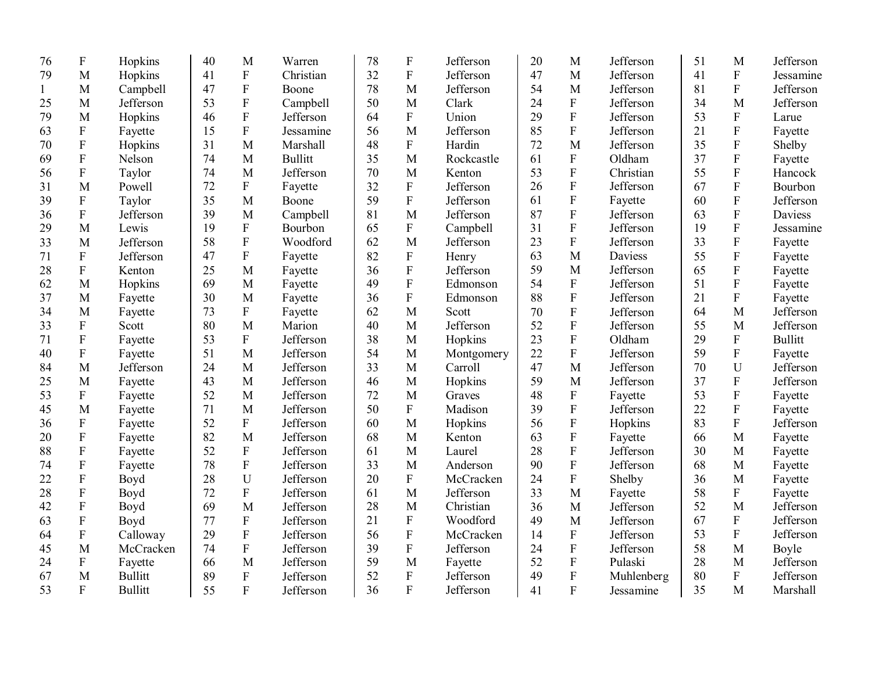| 76           | $\boldsymbol{F}$ | Hopkins        | 40 | M                       | Warren         | 78 | ${\bf F}$      | Jefferson  | 20 | M                         | Jefferson      | 51 | M                         | Jefferson      |
|--------------|------------------|----------------|----|-------------------------|----------------|----|----------------|------------|----|---------------------------|----------------|----|---------------------------|----------------|
| 79           | M                | Hopkins        | 41 | $\mathbf F$             | Christian      | 32 | ${\bf F}$      | Jefferson  | 47 | M                         | Jefferson      | 41 | ${\bf F}$                 | Jessamine      |
| $\mathbf{1}$ | M                | Campbell       | 47 | $\mathbf F$             | Boone          | 78 | M              | Jefferson  | 54 | M                         | Jefferson      | 81 | ${\bf F}$                 | Jefferson      |
| 25           | M                | Jefferson      | 53 | $\overline{F}$          | Campbell       | 50 | M              | Clark      | 24 | $\mathbf F$               | Jefferson      | 34 | M                         | Jefferson      |
| 79           | M                | Hopkins        | 46 | $\overline{\mathrm{F}}$ | Jefferson      | 64 | ${\bf F}$      | Union      | 29 | $\mathbf F$               | Jefferson      | 53 | ${\bf F}$                 | Larue          |
| 63           | F                | Fayette        | 15 | $\mathbf F$             | Jessamine      | 56 | M              | Jefferson  | 85 | $\boldsymbol{\mathrm{F}}$ | Jefferson      | 21 | ${\bf F}$                 | Fayette        |
| 70           | ${\bf F}$        | Hopkins        | 31 | M                       | Marshall       | 48 | $\mathbf F$    | Hardin     | 72 | M                         | Jefferson      | 35 | ${\bf F}$                 | Shelby         |
| 69           | $\mathbf F$      | Nelson         | 74 | M                       | <b>Bullitt</b> | 35 | M              | Rockcastle | 61 | $\mathbf{F}$              | Oldham         | 37 | ${\bf F}$                 | Fayette        |
| 56           | $\overline{F}$   | Taylor         | 74 | M                       | Jefferson      | 70 | M              | Kenton     | 53 | ${\bf F}$                 | Christian      | 55 | ${\bf F}$                 | Hancock        |
| 31           | M                | Powell         | 72 | $\mathbf F$             | Fayette        | 32 | ${\bf F}$      | Jefferson  | 26 | ${\bf F}$                 | Jefferson      | 67 | ${\bf F}$                 | Bourbon        |
| 39           | $\mathbf F$      | Taylor         | 35 | M                       | Boone          | 59 | ${\bf F}$      | Jefferson  | 61 | $\mathbf F$               | Fayette        | 60 | ${\bf F}$                 | Jefferson      |
| 36           | ${\bf F}$        | Jefferson      | 39 | M                       | Campbell       | 81 | M              | Jefferson  | 87 | ${\bf F}$                 | Jefferson      | 63 | ${\bf F}$                 | <b>Daviess</b> |
| 29           | M                | Lewis          | 19 | ${\bf F}$               | Bourbon        | 65 | ${\bf F}$      | Campbell   | 31 | ${\bf F}$                 | Jefferson      | 19 | ${\bf F}$                 | Jessamine      |
| 33           | M                | Jefferson      | 58 | $\overline{\mathrm{F}}$ | Woodford       | 62 | M              | Jefferson  | 23 | ${\bf F}$                 | Jefferson      | 33 | ${\bf F}$                 | Fayette        |
| 71           | ${\bf F}$        | Jefferson      | 47 | ${\bf F}$               | Fayette        | 82 | ${\bf F}$      | Henry      | 63 | M                         | <b>Daviess</b> | 55 | ${\bf F}$                 | Fayette        |
| 28           | ${\bf F}$        | Kenton         | 25 | M                       | Fayette        | 36 | ${\bf F}$      | Jefferson  | 59 | M                         | Jefferson      | 65 | ${\bf F}$                 | Fayette        |
| 62           | M                | Hopkins        | 69 | M                       | Fayette        | 49 | $\mathbf{F}$   | Edmonson   | 54 | ${\bf F}$                 | Jefferson      | 51 | ${\bf F}$                 | Fayette        |
| 37           | M                | Fayette        | 30 | M                       | Fayette        | 36 | $\mathbf{F}$   | Edmonson   | 88 | ${\bf F}$                 | Jefferson      | 21 | ${\bf F}$                 | Fayette        |
| 34           | M                | Fayette        | 73 | $\mathbf F$             | Fayette        | 62 | M              | Scott      | 70 | $\overline{F}$            | Jefferson      | 64 | M                         | Jefferson      |
| 33           | ${\bf F}$        | Scott          | 80 | M                       | Marion         | 40 | M              | Jefferson  | 52 | $\overline{F}$            | Jefferson      | 55 | M                         | Jefferson      |
| 71           | ${\bf F}$        | Fayette        | 53 | $\overline{F}$          | Jefferson      | 38 | M              | Hopkins    | 23 | $\overline{F}$            | Oldham         | 29 | $\mathbf F$               | <b>Bullitt</b> |
| 40           | ${\bf F}$        | Fayette        | 51 | $\mathbf{M}$            | Jefferson      | 54 | $\mathbf{M}$   | Montgomery | 22 | $\overline{F}$            | Jefferson      | 59 | ${\bf F}$                 | Fayette        |
| 84           | M                | Jefferson      | 24 | M                       | Jefferson      | 33 | M              | Carroll    | 47 | M                         | Jefferson      | 70 | U                         | Jefferson      |
| 25           | M                | Fayette        | 43 | M                       | Jefferson      | 46 | M              | Hopkins    | 59 | M                         | Jefferson      | 37 | $\rm F$                   | Jefferson      |
| 53           | ${\bf F}$        | Fayette        | 52 | M                       | Jefferson      | 72 | M              | Graves     | 48 | ${\bf F}$                 | Fayette        | 53 | ${\bf F}$                 | Fayette        |
| 45           | M                | Fayette        | 71 | M                       | Jefferson      | 50 | ${\bf F}$      | Madison    | 39 | $\mathbf F$               | Jefferson      | 22 | $\mathbf F$               | Fayette        |
| 36           | ${\bf F}$        | Fayette        | 52 | $\overline{F}$          | Jefferson      | 60 | M              | Hopkins    | 56 | ${\bf F}$                 | Hopkins        | 83 | $\mathbf F$               | Jefferson      |
| 20           | ${\bf F}$        | Fayette        | 82 | M                       | Jefferson      | 68 | M              | Kenton     | 63 | $\mathbf F$               | Fayette        | 66 | M                         | Fayette        |
| 88           | ${\bf F}$        | Fayette        | 52 | $\mathbf F$             | Jefferson      | 61 | M              | Laurel     | 28 | $\mathbf F$               | Jefferson      | 30 | M                         | Fayette        |
| 74           | ${\bf F}$        | Fayette        | 78 | $\overline{F}$          | Jefferson      | 33 | M              | Anderson   | 90 | ${\bf F}$                 | Jefferson      | 68 | M                         | Fayette        |
| 22           | ${\bf F}$        | Boyd           | 28 | U                       | Jefferson      | 20 | $\mathbf{F}$   | McCracken  | 24 | $\overline{F}$            | Shelby         | 36 | M                         | Fayette        |
| 28           | $\mathbf F$      | Boyd           | 72 | $\overline{F}$          | Jefferson      | 61 | $\mathbf{M}$   | Jefferson  | 33 | M                         | Fayette        | 58 | ${\bf F}$                 | Fayette        |
| 42           | $\mathbf F$      | Boyd           | 69 | M                       | Jefferson      | 28 | M              | Christian  | 36 | M                         | Jefferson      | 52 | M                         | Jefferson      |
| 63           | ${\bf F}$        | Boyd           | 77 | $\mathbf F$             | Jefferson      | 21 | ${\bf F}$      | Woodford   | 49 | M                         | Jefferson      | 67 | $\boldsymbol{\mathrm{F}}$ | Jefferson      |
| 64           | $\mathbf F$      | Calloway       | 29 | ${\bf F}$               | Jefferson      | 56 | ${\bf F}$      | McCracken  | 14 | ${\bf F}$                 | Jefferson      | 53 | $\mathbf F$               | Jefferson      |
| 45           | M                | McCracken      | 74 | $\overline{F}$          | Jefferson      | 39 | ${\bf F}$      | Jefferson  | 24 | $\mathbf F$               | Jefferson      | 58 | M                         | Boyle          |
| 24           | ${\bf F}$        | Fayette        | 66 | M                       | Jefferson      | 59 | M              | Fayette    | 52 | $\mathbf F$               | Pulaski        | 28 | M                         | Jefferson      |
| 67           | M                | <b>Bullitt</b> | 89 | $\overline{F}$          | Jefferson      | 52 | $\mathbf F$    | Jefferson  | 49 | $\mathbf F$               | Muhlenberg     | 80 | $\overline{F}$            | Jefferson      |
| 53           | $\mathbf F$      | <b>Bullitt</b> | 55 | $\overline{F}$          | Jefferson      | 36 | $\overline{F}$ | Jefferson  | 41 | $\overline{F}$            | Jessamine      | 35 | M                         | Marshall       |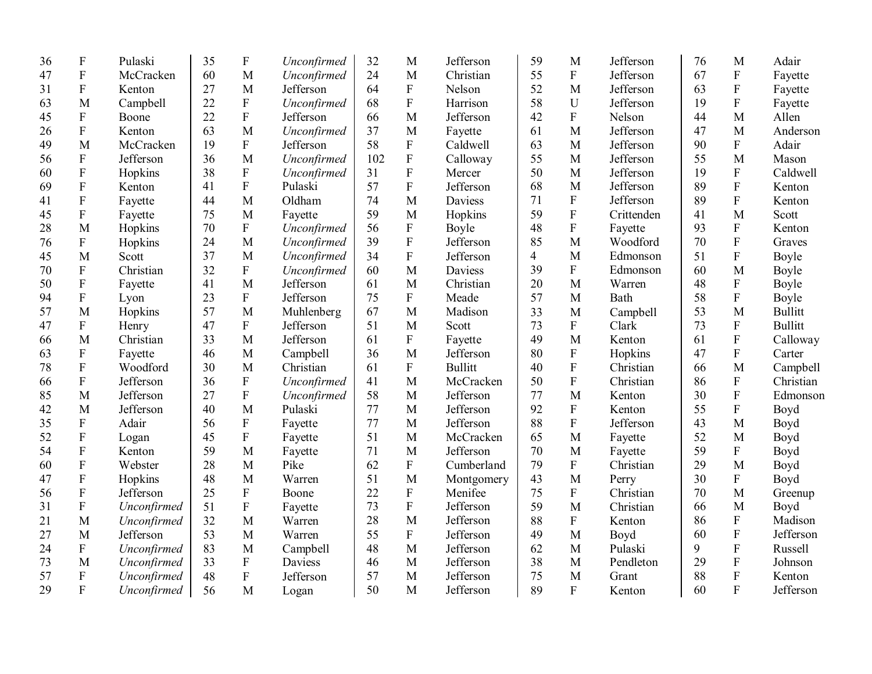| 36 | $\boldsymbol{F}$          | Pulaski     | 35 | $\boldsymbol{\mathrm{F}}$ | Unconfirmed    | 32  | M              | Jefferson      | 59             | M                         | Jefferson  | 76 | M                         | Adair          |
|----|---------------------------|-------------|----|---------------------------|----------------|-----|----------------|----------------|----------------|---------------------------|------------|----|---------------------------|----------------|
| 47 | $\mathbf F$               | McCracken   | 60 | M                         | Unconfirmed    | 24  | M              | Christian      | 55             | ${\bf F}$                 | Jefferson  | 67 | ${\bf F}$                 | Fayette        |
| 31 | $\mathbf{F}$              | Kenton      | 27 | M                         | Jefferson      | 64  | $\overline{F}$ | Nelson         | 52             | M                         | Jefferson  | 63 | ${\bf F}$                 | Fayette        |
| 63 | M                         | Campbell    | 22 | $\rm F$                   | Unconfirmed    | 68  | $\overline{F}$ | Harrison       | 58             | U                         | Jefferson  | 19 | $\mathbf F$               | Fayette        |
| 45 | ${\bf F}$                 | Boone       | 22 | ${\bf F}$                 | Jefferson      | 66  | M              | Jefferson      | 42             | ${\bf F}$                 | Nelson     | 44 | M                         | Allen          |
| 26 | ${\bf F}$                 | Kenton      | 63 | M                         | Unconfirmed    | 37  | M              | Fayette        | 61             | M                         | Jefferson  | 47 | M                         | Anderson       |
| 49 | M                         | McCracken   | 19 | ${\bf F}$                 | Jefferson      | 58  | ${\bf F}$      | Caldwell       | 63             | M                         | Jefferson  | 90 | ${\bf F}$                 | Adair          |
| 56 | ${\bf F}$                 | Jefferson   | 36 | M                         | Unconfirmed    | 102 | ${\bf F}$      | Calloway       | 55             | M                         | Jefferson  | 55 | M                         | Mason          |
| 60 | $\mathbf F$               | Hopkins     | 38 | ${\bf F}$                 | Unconfirmed    | 31  | $\mathbf{F}$   | Mercer         | 50             | M                         | Jefferson  | 19 | $\boldsymbol{\mathrm{F}}$ | Caldwell       |
| 69 | ${\bf F}$                 | Kenton      | 41 | ${\bf F}$                 | Pulaski        | 57  | $\mathbf F$    | Jefferson      | 68             | M                         | Jefferson  | 89 | $\boldsymbol{\mathrm{F}}$ | Kenton         |
| 41 | $\mathbf F$               | Fayette     | 44 | M                         | Oldham         | 74  | M              | <b>Daviess</b> | 71             | $\boldsymbol{\mathrm{F}}$ | Jefferson  | 89 | $\boldsymbol{\mathrm{F}}$ | Kenton         |
| 45 | ${\bf F}$                 | Fayette     | 75 | M                         | Fayette        | 59  | M              | Hopkins        | 59             | ${\bf F}$                 | Crittenden | 41 | M                         | Scott          |
| 28 | M                         | Hopkins     | 70 | ${\bf F}$                 | Unconfirmed    | 56  | ${\bf F}$      | Boyle          | 48             | $\mathbf F$               | Fayette    | 93 | ${\bf F}$                 | Kenton         |
| 76 | $\boldsymbol{\mathrm{F}}$ | Hopkins     | 24 | M                         | Unconfirmed    | 39  | $\rm F$        | Jefferson      | 85             | M                         | Woodford   | 70 | ${\bf F}$                 | Graves         |
| 45 | M                         | Scott       | 37 | M                         | Unconfirmed    | 34  | $\mathbf F$    | Jefferson      | $\overline{4}$ | M                         | Edmonson   | 51 | ${\bf F}$                 | Boyle          |
| 70 | ${\bf F}$                 | Christian   | 32 | ${\bf F}$                 | Unconfirmed    | 60  | M              | Daviess        | 39             | ${\bf F}$                 | Edmonson   | 60 | M                         | Boyle          |
| 50 | ${\bf F}$                 | Fayette     | 41 | M                         | Jefferson      | 61  | M              | Christian      | 20             | M                         | Warren     | 48 | ${\bf F}$                 | Boyle          |
| 94 | ${\bf F}$                 | Lyon        | 23 | ${\bf F}$                 | Jefferson      | 75  | $\mathbf{F}$   | Meade          | 57             | M                         | Bath       | 58 | ${\bf F}$                 | Boyle          |
| 57 | M                         | Hopkins     | 57 | M                         | Muhlenberg     | 67  | M              | Madison        | 33             | M                         | Campbell   | 53 | M                         | <b>Bullitt</b> |
| 47 | $\boldsymbol{F}$          | Henry       | 47 | $\mathbf{F}$              | Jefferson      | 51  | M              | Scott          | 73             | $\overline{F}$            | Clark      | 73 | $\boldsymbol{\mathrm{F}}$ | <b>Bullitt</b> |
| 66 | M                         | Christian   | 33 | M                         | Jefferson      | 61  | $\mathbf{F}$   | Fayette        | 49             | M                         | Kenton     | 61 | $\overline{F}$            | Calloway       |
| 63 | ${\bf F}$                 | Fayette     | 46 | $\mathbf{M}$              | Campbell       | 36  | M              | Jefferson      | 80             | ${\bf F}$                 | Hopkins    | 47 | $\boldsymbol{\mathrm{F}}$ | Carter         |
| 78 | ${\bf F}$                 | Woodford    | 30 | M                         | Christian      | 61  | ${\bf F}$      | <b>Bullitt</b> | 40             | ${\bf F}$                 | Christian  | 66 | M                         | Campbell       |
| 66 | $\boldsymbol{\mathrm{F}}$ | Jefferson   | 36 | ${\bf F}$                 | Unconfirmed    | 41  | M              | McCracken      | 50             | ${\bf F}$                 | Christian  | 86 | ${\bf F}$                 | Christian      |
| 85 | M                         | Jefferson   | 27 | ${\bf F}$                 | Unconfirmed    | 58  | M              | Jefferson      | 77             | M                         | Kenton     | 30 | ${\bf F}$                 | Edmonson       |
| 42 | M                         | Jefferson   | 40 | M                         | Pulaski        | 77  | M              | Jefferson      | 92             | ${\bf F}$                 | Kenton     | 55 | ${\bf F}$                 | Boyd           |
| 35 | ${\bf F}$                 | Adair       | 56 | $\mathbf F$               | Fayette        | 77  | M              | Jefferson      | 88             | ${\bf F}$                 | Jefferson  | 43 | M                         | Boyd           |
| 52 | $\boldsymbol{\mathrm{F}}$ | Logan       | 45 | $\rm F$                   | Fayette        | 51  | M              | McCracken      | 65             | M                         | Fayette    | 52 | M                         | Boyd           |
| 54 | $\mathbf F$               | Kenton      | 59 | M                         | Fayette        | 71  | M              | Jefferson      | 70             | M                         | Fayette    | 59 | $\mathbf{F}$              | Boyd           |
| 60 | $\mathbf F$               | Webster     | 28 | M                         | Pike           | 62  | ${\bf F}$      | Cumberland     | 79             | $\boldsymbol{\mathrm{F}}$ | Christian  | 29 | M                         | Boyd           |
| 47 | ${\bf F}$                 | Hopkins     | 48 | M                         | Warren         | 51  | M              | Montgomery     | 43             | M                         | Perry      | 30 | ${\bf F}$                 | Boyd           |
| 56 | $\overline{\mathrm{F}}$   | Jefferson   | 25 | ${\bf F}$                 | Boone          | 22  | ${\bf F}$      | Menifee        | 75             | ${\bf F}$                 | Christian  | 70 | $\mathbf{M}$              | Greenup        |
| 31 | $\boldsymbol{\mathrm{F}}$ | Unconfirmed | 51 | $\rm F$                   | Fayette        | 73  | $\rm F$        | Jefferson      | 59             | M                         | Christian  | 66 | $\mathbf{M}$              | Boyd           |
| 21 | M                         | Unconfirmed | 32 | M                         | Warren         | 28  | M              | Jefferson      | 88             | ${\bf F}$                 | Kenton     | 86 | ${\bf F}$                 | Madison        |
| 27 | M                         | Jefferson   | 53 | M                         | Warren         | 55  | ${\bf F}$      | Jefferson      | 49             | M                         | Boyd       | 60 | ${\bf F}$                 | Jefferson      |
| 24 | $\boldsymbol{\mathrm{F}}$ | Unconfirmed | 83 | M                         | Campbell       | 48  | M              | Jefferson      | 62             | M                         | Pulaski    | 9  | $\boldsymbol{\mathrm{F}}$ | Russell        |
| 73 | M                         | Unconfirmed | 33 | ${\bf F}$                 | <b>Daviess</b> | 46  | M              | Jefferson      | 38             | M                         | Pendleton  | 29 | ${\bf F}$                 | Johnson        |
| 57 | ${\bf F}$                 | Unconfirmed | 48 | $\mathbf{F}$              | Jefferson      | 57  | M              | Jefferson      | 75             | M                         | Grant      | 88 | F                         | Kenton         |
| 29 | $\mathbf F$               | Unconfirmed | 56 | M                         | Logan          | 50  | M              | Jefferson      | 89             | $\mathbf{F}$              | Kenton     | 60 | $\mathbf{F}$              | Jefferson      |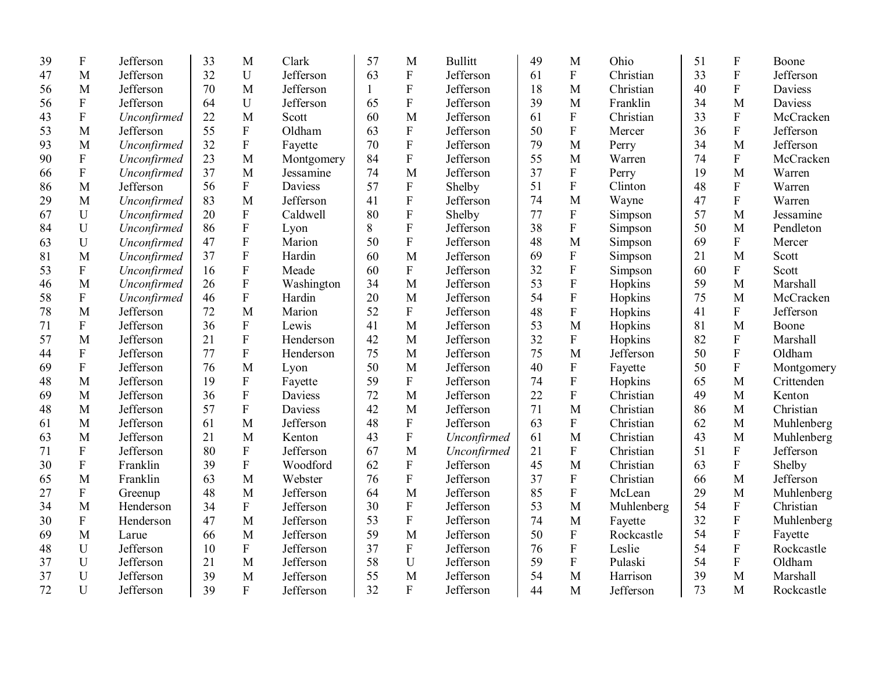| 39 | ${\bf F}$                 | Jefferson   | 33 | M                         | Clark      | 57           | M                         | <b>Bullitt</b> | 49 | M                         | Ohio       | 51 | ${\bf F}$               | Boone      |
|----|---------------------------|-------------|----|---------------------------|------------|--------------|---------------------------|----------------|----|---------------------------|------------|----|-------------------------|------------|
| 47 | M                         | Jefferson   | 32 | $\mathbf U$               | Jefferson  | 63           | ${\bf F}$                 | Jefferson      | 61 | $\mathbf F$               | Christian  | 33 | $\rm F$                 | Jefferson  |
| 56 | M                         | Jefferson   | 70 | $\mathbf{M}$              | Jefferson  | $\mathbf{1}$ | $\boldsymbol{\mathrm{F}}$ | Jefferson      | 18 | $\mathbf{M}$              | Christian  | 40 | $\rm F$                 | Daviess    |
| 56 | ${\bf F}$                 | Jefferson   | 64 | $\mathbf U$               | Jefferson  | 65           | ${\bf F}$                 | Jefferson      | 39 | M                         | Franklin   | 34 | M                       | Daviess    |
| 43 | $\overline{F}$            | Unconfirmed | 22 | M                         | Scott      | 60           | M                         | Jefferson      | 61 | $\mathbf F$               | Christian  | 33 | $\mathbf F$             | McCracken  |
| 53 | M                         | Jefferson   | 55 | ${\bf F}$                 | Oldham     | 63           | ${\bf F}$                 | Jefferson      | 50 | $\mathbf F$               | Mercer     | 36 | $\overline{F}$          | Jefferson  |
| 93 | M                         | Unconfirmed | 32 | ${\bf F}$                 | Fayette    | 70           | ${\bf F}$                 | Jefferson      | 79 | M                         | Perry      | 34 | M                       | Jefferson  |
| 90 | ${\bf F}$                 | Unconfirmed | 23 | M                         | Montgomery | 84           | ${\bf F}$                 | Jefferson      | 55 | M                         | Warren     | 74 | ${\bf F}$               | McCracken  |
| 66 | ${\bf F}$                 | Unconfirmed | 37 | M                         | Jessamine  | 74           | M                         | Jefferson      | 37 | $\mathbf F$               | Perry      | 19 | M                       | Warren     |
| 86 | M                         | Jefferson   | 56 | ${\bf F}$                 | Daviess    | 57           | ${\bf F}$                 | Shelby         | 51 | $\overline{F}$            | Clinton    | 48 | $\mathbf{F}$            | Warren     |
| 29 | M                         | Unconfirmed | 83 | M                         | Jefferson  | 41           | ${\bf F}$                 | Jefferson      | 74 | M                         | Wayne      | 47 | $\overline{F}$          | Warren     |
| 67 | U                         | Unconfirmed | 20 | $\mathbf F$               | Caldwell   | 80           | ${\bf F}$                 | Shelby         | 77 | ${\bf F}$                 | Simpson    | 57 | M                       | Jessamine  |
| 84 | U                         | Unconfirmed | 86 | $\mathbf F$               | Lyon       | 8            | $\overline{F}$            | Jefferson      | 38 | ${\bf F}$                 | Simpson    | 50 | M                       | Pendleton  |
| 63 | $\mathbf U$               | Unconfirmed | 47 | $\boldsymbol{\mathrm{F}}$ | Marion     | 50           | $\mathbf F$               | Jefferson      | 48 | M                         | Simpson    | 69 | $\overline{F}$          | Mercer     |
| 81 | M                         | Unconfirmed | 37 | ${\bf F}$                 | Hardin     | 60           | M                         | Jefferson      | 69 | ${\bf F}$                 | Simpson    | 21 | M                       | Scott      |
| 53 | ${\bf F}$                 | Unconfirmed | 16 | ${\bf F}$                 | Meade      | 60           | $\boldsymbol{\mathrm{F}}$ | Jefferson      | 32 | $\overline{F}$            | Simpson    | 60 | $\mathbf{F}$            | Scott      |
| 46 | M                         | Unconfirmed | 26 | ${\bf F}$                 | Washington | 34           | M                         | Jefferson      | 53 | $\overline{F}$            | Hopkins    | 59 | M                       | Marshall   |
| 58 | $\mathbf F$               | Unconfirmed | 46 | $\boldsymbol{\mathrm{F}}$ | Hardin     | 20           | M                         | Jefferson      | 54 | ${\bf F}$                 | Hopkins    | 75 | M                       | McCracken  |
| 78 | M                         | Jefferson   | 72 | M                         | Marion     | 52           | ${\bf F}$                 | Jefferson      | 48 | $\overline{F}$            | Hopkins    | 41 | $\mathbf{F}$            | Jefferson  |
| 71 | ${\bf F}$                 | Jefferson   | 36 | ${\bf F}$                 | Lewis      | 41           | M                         | Jefferson      | 53 | $\overline{M}$            | Hopkins    | 81 | M                       | Boone      |
| 57 | M                         | Jefferson   | 21 | ${\bf F}$                 | Henderson  | 42           | M                         | Jefferson      | 32 | $\mathbf F$               | Hopkins    | 82 | ${\bf F}$               | Marshall   |
| 44 | ${\bf F}$                 | Jefferson   | 77 | ${\bf F}$                 | Henderson  | 75           | M                         | Jefferson      | 75 | M                         | Jefferson  | 50 | $\rm F$                 | Oldham     |
| 69 | $\overline{F}$            | Jefferson   | 76 | M                         | Lyon       | 50           | M                         | Jefferson      | 40 | $\mathbf F$               | Fayette    | 50 | ${\bf F}$               | Montgomery |
| 48 | M                         | Jefferson   | 19 | ${\bf F}$                 | Fayette    | 59           | ${\bf F}$                 | Jefferson      | 74 | ${\bf F}$                 | Hopkins    | 65 | $\mathbf M$             | Crittenden |
| 69 | M                         | Jefferson   | 36 | $\boldsymbol{\mathrm{F}}$ | Daviess    | 72           | M                         | Jefferson      | 22 | $\overline{\mathrm{F}}$   | Christian  | 49 | $\mathbf M$             | Kenton     |
| 48 | M                         | Jefferson   | 57 | ${\bf F}$                 | Daviess    | 42           | M                         | Jefferson      | 71 | M                         | Christian  | 86 | M                       | Christian  |
| 61 | M                         | Jefferson   | 61 | M                         | Jefferson  | 48           | $\boldsymbol{\mathrm{F}}$ | Jefferson      | 63 | $\boldsymbol{\mathrm{F}}$ | Christian  | 62 | $\mathbf{M}$            | Muhlenberg |
| 63 | M                         | Jefferson   | 21 | M                         | Kenton     | 43           | ${\bf F}$                 | Unconfirmed    | 61 | M                         | Christian  | 43 | M                       | Muhlenberg |
| 71 | $\mathbf{F}$              | Jefferson   | 80 | $\mathbf F$               | Jefferson  | 67           | M                         | Unconfirmed    | 21 | $\boldsymbol{\mathrm{F}}$ | Christian  | 51 | $\overline{F}$          | Jefferson  |
| 30 | ${\bf F}$                 | Franklin    | 39 | $\boldsymbol{\mathrm{F}}$ | Woodford   | 62           | $\boldsymbol{\mathrm{F}}$ | Jefferson      | 45 | M                         | Christian  | 63 | $\overline{\mathrm{F}}$ | Shelby     |
| 65 | M                         | Franklin    | 63 | M                         | Webster    | 76           | ${\bf F}$                 | Jefferson      | 37 | $\boldsymbol{\mathrm{F}}$ | Christian  | 66 | $\mathbf M$             | Jefferson  |
| 27 | $\boldsymbol{\mathrm{F}}$ | Greenup     | 48 | M                         | Jefferson  | 64           | M                         | Jefferson      | 85 | $\overline{F}$            | McLean     | 29 | M                       | Muhlenberg |
| 34 | M                         | Henderson   | 34 | ${\bf F}$                 | Jefferson  | 30           | $\boldsymbol{\mathrm{F}}$ | Jefferson      | 53 | M                         | Muhlenberg | 54 | $\mathbf F$             | Christian  |
| 30 | $\boldsymbol{\mathrm{F}}$ | Henderson   | 47 | M                         | Jefferson  | 53           | ${\bf F}$                 | Jefferson      | 74 | M                         | Fayette    | 32 | $\rm F$                 | Muhlenberg |
| 69 | M                         | Larue       | 66 | M                         | Jefferson  | 59           | M                         | Jefferson      | 50 | ${\bf F}$                 | Rockcastle | 54 | $\rm F$                 | Fayette    |
| 48 | $\mathbf U$               | Jefferson   | 10 | ${\bf F}$                 | Jefferson  | 37           | $\boldsymbol{\mathrm{F}}$ | Jefferson      | 76 | $\rm F$                   | Leslie     | 54 | $\overline{F}$          | Rockcastle |
| 37 | U                         | Jefferson   | 21 | M                         | Jefferson  | 58           | $\mathbf U$               | Jefferson      | 59 | $\mathbf F$               | Pulaski    | 54 | ${\bf F}$               | Oldham     |
| 37 | $\mathbf U$               | Jefferson   | 39 | M                         | Jefferson  | 55           | M                         | Jefferson      | 54 | M                         | Harrison   | 39 | $\mathbf{M}$            | Marshall   |
| 72 | U                         | Jefferson   | 39 | $\overline{F}$            | Jefferson  | 32           | $\overline{F}$            | Jefferson      | 44 | M                         | Jefferson  | 73 | M                       | Rockcastle |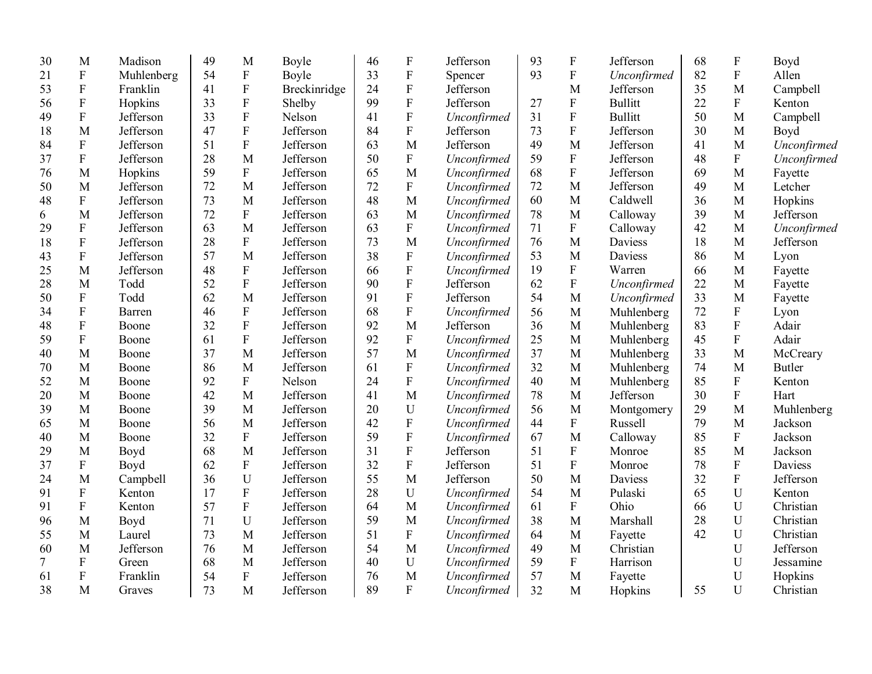| 30 | M                         | Madison    | 49 | M              | Boyle        | 46 | $\boldsymbol{\mathrm{F}}$ | Jefferson   | 93 | $\mathbf F$    | Jefferson      | 68 | ${\bf F}$                 | Boyd          |
|----|---------------------------|------------|----|----------------|--------------|----|---------------------------|-------------|----|----------------|----------------|----|---------------------------|---------------|
| 21 | ${\bf F}$                 | Muhlenberg | 54 | ${\bf F}$      | Boyle        | 33 | F                         | Spencer     | 93 | $\overline{F}$ | Unconfirmed    | 82 | ${\bf F}$                 | Allen         |
| 53 | ${\bf F}$                 | Franklin   | 41 | ${\bf F}$      | Breckinridge | 24 | ${\bf F}$                 | Jefferson   |    | M              | Jefferson      | 35 | M                         | Campbell      |
| 56 | ${\bf F}$                 | Hopkins    | 33 | ${\bf F}$      | Shelby       | 99 | ${\bf F}$                 | Jefferson   | 27 | $\mathbf F$    | <b>Bullitt</b> | 22 | ${\bf F}$                 | Kenton        |
| 49 | ${\bf F}$                 | Jefferson  | 33 | $\mathbf{F}$   | Nelson       | 41 | ${\bf F}$                 | Unconfirmed | 31 | ${\bf F}$      | <b>Bullitt</b> | 50 | M                         | Campbell      |
| 18 | M                         | Jefferson  | 47 | $\overline{F}$ | Jefferson    | 84 | ${\bf F}$                 | Jefferson   | 73 | ${\bf F}$      | Jefferson      | 30 | M                         | Boyd          |
| 84 | ${\bf F}$                 | Jefferson  | 51 | $\mathbf F$    | Jefferson    | 63 | M                         | Jefferson   | 49 | M              | Jefferson      | 41 | M                         | Unconfirmed   |
| 37 | ${\bf F}$                 | Jefferson  | 28 | M              | Jefferson    | 50 | $\mathbf F$               | Unconfirmed | 59 | $\overline{F}$ | Jefferson      | 48 | ${\bf F}$                 | Unconfirmed   |
| 76 | M                         | Hopkins    | 59 | ${\bf F}$      | Jefferson    | 65 | M                         | Unconfirmed | 68 | $\overline{F}$ | Jefferson      | 69 | M                         | Fayette       |
| 50 | M                         | Jefferson  | 72 | M              | Jefferson    | 72 | $\boldsymbol{\mathrm{F}}$ | Unconfirmed | 72 | M              | Jefferson      | 49 | M                         | Letcher       |
| 48 | ${\bf F}$                 | Jefferson  | 73 | M              | Jefferson    | 48 | M                         | Unconfirmed | 60 | M              | Caldwell       | 36 | M                         | Hopkins       |
| 6  | M                         | Jefferson  | 72 | ${\bf F}$      | Jefferson    | 63 | M                         | Unconfirmed | 78 | M              | Calloway       | 39 | M                         | Jefferson     |
| 29 | ${\bf F}$                 | Jefferson  | 63 | M              | Jefferson    | 63 | ${\bf F}$                 | Unconfirmed | 71 | ${\bf F}$      | Calloway       | 42 | M                         | Unconfirmed   |
| 18 | $\boldsymbol{\mathrm{F}}$ | Jefferson  | 28 | ${\bf F}$      | Jefferson    | 73 | M                         | Unconfirmed | 76 | M              | <b>Daviess</b> | 18 | M                         | Jefferson     |
| 43 | $\overline{F}$            | Jefferson  | 57 | M              | Jefferson    | 38 | ${\bf F}$                 | Unconfirmed | 53 | M              | Daviess        | 86 | M                         | Lyon          |
| 25 | M                         | Jefferson  | 48 | ${\bf F}$      | Jefferson    | 66 | ${\bf F}$                 | Unconfirmed | 19 | $\rm F$        | Warren         | 66 | M                         | Fayette       |
| 28 | M                         | Todd       | 52 | $\mathbf{F}$   | Jefferson    | 90 | ${\bf F}$                 | Jefferson   | 62 | ${\bf F}$      | Unconfirmed    | 22 | M                         | Fayette       |
| 50 | ${\bf F}$                 | Todd       | 62 | M              | Jefferson    | 91 | F                         | Jefferson   | 54 | M              | Unconfirmed    | 33 | M                         | Fayette       |
| 34 | $\boldsymbol{\mathrm{F}}$ | Barren     | 46 | ${\bf F}$      | Jefferson    | 68 | ${\bf F}$                 | Unconfirmed | 56 | M              | Muhlenberg     | 72 | $\boldsymbol{\mathrm{F}}$ | Lyon          |
| 48 | $\boldsymbol{\mathrm{F}}$ | Boone      | 32 | $\overline{F}$ | Jefferson    | 92 | M                         | Jefferson   | 36 | M              | Muhlenberg     | 83 | $\mathbf F$               | Adair         |
| 59 | ${\bf F}$                 | Boone      | 61 | ${\bf F}$      | Jefferson    | 92 | $\boldsymbol{\mathrm{F}}$ | Unconfirmed | 25 | M              | Muhlenberg     | 45 | $\mathbf F$               | Adair         |
| 40 | M                         | Boone      | 37 | M              | Jefferson    | 57 | M                         | Unconfirmed | 37 | $\mathbf{M}$   | Muhlenberg     | 33 | M                         | McCreary      |
| 70 | M                         | Boone      | 86 | M              | Jefferson    | 61 | ${\bf F}$                 | Unconfirmed | 32 | M              | Muhlenberg     | 74 | M                         | <b>Butler</b> |
| 52 | M                         | Boone      | 92 | ${\bf F}$      | Nelson       | 24 | F                         | Unconfirmed | 40 | M              | Muhlenberg     | 85 | ${\bf F}$                 | Kenton        |
| 20 | M                         | Boone      | 42 | M              | Jefferson    | 41 | M                         | Unconfirmed | 78 | M              | Jefferson      | 30 | ${\bf F}$                 | Hart          |
| 39 | M                         | Boone      | 39 | M              | Jefferson    | 20 | $\mathbf U$               | Unconfirmed | 56 | M              | Montgomery     | 29 | M                         | Muhlenberg    |
| 65 | M                         | Boone      | 56 | M              | Jefferson    | 42 | F                         | Unconfirmed | 44 | ${\bf F}$      | Russell        | 79 | M                         | Jackson       |
| 40 | M                         | Boone      | 32 | $\overline{F}$ | Jefferson    | 59 | F                         | Unconfirmed | 67 | M              | Calloway       | 85 | $\overline{F}$            | Jackson       |
| 29 | M                         | Boyd       | 68 | M              | Jefferson    | 31 | ${\bf F}$                 | Jefferson   | 51 | ${\bf F}$      | Monroe         | 85 | M                         | Jackson       |
| 37 | $\boldsymbol{\mathrm{F}}$ | Boyd       | 62 | ${\bf F}$      | Jefferson    | 32 | F                         | Jefferson   | 51 | ${\bf F}$      | Monroe         | 78 | ${\bf F}$                 | Daviess       |
| 24 | M                         | Campbell   | 36 | $\mathbf U$    | Jefferson    | 55 | M                         | Jefferson   | 50 | M              | Daviess        | 32 | $\overline{F}$            | Jefferson     |
| 91 | ${\bf F}$                 | Kenton     | 17 | $\rm F$        | Jefferson    | 28 | U                         | Unconfirmed | 54 | M              | Pulaski        | 65 | $\mathbf U$               | Kenton        |
| 91 | ${\bf F}$                 | Kenton     | 57 | ${\bf F}$      | Jefferson    | 64 | M                         | Unconfirmed | 61 | ${\bf F}$      | Ohio           | 66 | $\mathbf U$               | Christian     |
| 96 | M                         | Boyd       | 71 | $\mathbf U$    | Jefferson    | 59 | M                         | Unconfirmed | 38 | M              | Marshall       | 28 | U                         | Christian     |
| 55 | M                         | Laurel     | 73 | M              | Jefferson    | 51 | ${\bf F}$                 | Unconfirmed | 64 | M              | Fayette        | 42 | ${\bf U}$                 | Christian     |
| 60 | M                         | Jefferson  | 76 | M              | Jefferson    | 54 | M                         | Unconfirmed | 49 | M              | Christian      |    | ${\bf U}$                 | Jefferson     |
| 7  | ${\bf F}$                 | Green      | 68 | M              | Jefferson    | 40 | U                         | Unconfirmed | 59 | ${\bf F}$      | Harrison       |    | U                         | Jessamine     |
| 61 | ${\bf F}$                 | Franklin   | 54 | ${\bf F}$      | Jefferson    | 76 | M                         | Unconfirmed | 57 | M              | Fayette        |    | $\mathbf U$               | Hopkins       |
| 38 | M                         | Graves     | 73 | M              | Jefferson    | 89 | $\mathbf F$               | Unconfirmed | 32 | M              | Hopkins        | 55 | $\mathbf U$               | Christian     |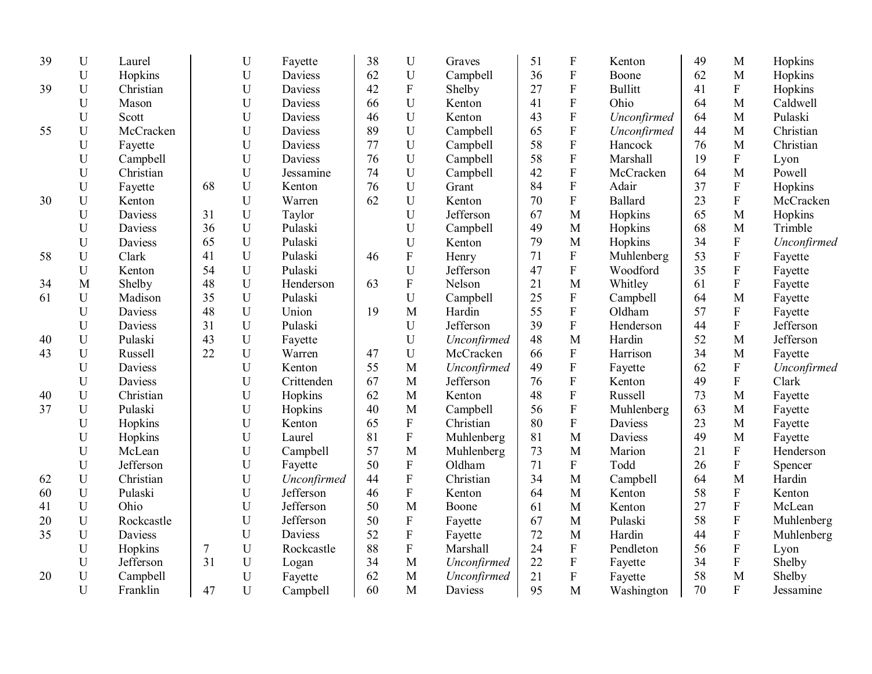| 39 | U           | Laurel     |    | $\mathbf U$               | Fayette        | 38 | $\mathbf U$               | Graves      | 51 | ${\bf F}$                 | Kenton         | 49 | M                         | Hopkins     |
|----|-------------|------------|----|---------------------------|----------------|----|---------------------------|-------------|----|---------------------------|----------------|----|---------------------------|-------------|
|    | U           | Hopkins    |    | U                         | <b>Daviess</b> | 62 | $\mathbf U$               | Campbell    | 36 | ${\bf F}$                 | Boone          | 62 | M                         | Hopkins     |
| 39 | $\mathbf U$ | Christian  |    | U                         | Daviess        | 42 | ${\bf F}$                 | Shelby      | 27 | $\boldsymbol{\mathrm{F}}$ | <b>Bullitt</b> | 41 | ${\bf F}$                 | Hopkins     |
|    | U           | Mason      |    | U                         | Daviess        | 66 | $\mathbf U$               | Kenton      | 41 | $\boldsymbol{\mathrm{F}}$ | Ohio           | 64 | M                         | Caldwell    |
|    | U           | Scott      |    | U                         | Daviess        | 46 | U                         | Kenton      | 43 | ${\bf F}$                 | Unconfirmed    | 64 | M                         | Pulaski     |
| 55 | U           | McCracken  |    | U                         | Daviess        | 89 | U                         | Campbell    | 65 | ${\bf F}$                 | Unconfirmed    | 44 | M                         | Christian   |
|    | U           | Fayette    |    | U                         | Daviess        | 77 | U                         | Campbell    | 58 | ${\bf F}$                 | Hancock        | 76 | M                         | Christian   |
|    | U           | Campbell   |    | U                         | Daviess        | 76 | U                         | Campbell    | 58 | $\overline{F}$            | Marshall       | 19 | ${\bf F}$                 | Lyon        |
|    | U           | Christian  |    | ${\bf U}$                 | Jessamine      | 74 | U                         | Campbell    | 42 | $\overline{F}$            | McCracken      | 64 | $\mathbf{M}$              | Powell      |
|    | U           | Fayette    | 68 | ${\bf U}$                 | Kenton         | 76 | $\mathbf U$               | Grant       | 84 | $\rm F$                   | Adair          | 37 | ${\bf F}$                 | Hopkins     |
| 30 | $\mathbf U$ | Kenton     |    | $\mathbf U$               | Warren         | 62 | U                         | Kenton      | 70 | ${\bf F}$                 | Ballard        | 23 | ${\bf F}$                 | McCracken   |
|    | U           | Daviess    | 31 | ${\bf U}$                 | Taylor         |    | $\mathbf U$               | Jefferson   | 67 | M                         | Hopkins        | 65 | M                         | Hopkins     |
|    | U           | Daviess    | 36 | U                         | Pulaski        |    | U                         | Campbell    | 49 | M                         | Hopkins        | 68 | M                         | Trimble     |
|    | U           | Daviess    | 65 | U                         | Pulaski        |    | U                         | Kenton      | 79 | M                         | Hopkins        | 34 | ${\bf F}$                 | Unconfirmed |
| 58 | U           | Clark      | 41 | $\mathbf U$               | Pulaski        | 46 | ${\bf F}$                 | Henry       | 71 | $\rm F$                   | Muhlenberg     | 53 | ${\bf F}$                 | Fayette     |
|    | U           | Kenton     | 54 | $\mathbf U$               | Pulaski        |    | U                         | Jefferson   | 47 | ${\bf F}$                 | Woodford       | 35 | ${\bf F}$                 | Fayette     |
| 34 | M           | Shelby     | 48 | ${\bf U}$                 | Henderson      | 63 | ${\bf F}$                 | Nelson      | 21 | M                         | Whitley        | 61 | $\boldsymbol{\mathrm{F}}$ | Fayette     |
| 61 | $\mathbf U$ | Madison    | 35 | $\mathbf U$               | Pulaski        |    | U                         | Campbell    | 25 | ${\bf F}$                 | Campbell       | 64 | M                         | Fayette     |
|    | U           | Daviess    | 48 | U                         | Union          | 19 | M                         | Hardin      | 55 | $\mathbf F$               | Oldham         | 57 | ${\bf F}$                 | Fayette     |
|    | $\mathbf U$ | Daviess    | 31 | U                         | Pulaski        |    | U                         | Jefferson   | 39 | $\mathbf{F}$              | Henderson      | 44 | $\mathbf F$               | Jefferson   |
| 40 | U           | Pulaski    | 43 | U                         | Fayette        |    | U                         | Unconfirmed | 48 | M                         | Hardin         | 52 | M                         | Jefferson   |
| 43 | $\mathbf U$ | Russell    | 22 | ${\bf U}$                 | Warren         | 47 | ${\bf U}$                 | McCracken   | 66 | ${\bf F}$                 | Harrison       | 34 | M                         | Fayette     |
|    | $\mathbf U$ | Daviess    |    | $\mathbf U$               | Kenton         | 55 | $\mathbf{M}$              | Unconfirmed | 49 | $\rm F$                   | Fayette        | 62 | $\boldsymbol{\mathrm{F}}$ | Unconfirmed |
|    | $\mathbf U$ | Daviess    |    | $\mathbf U$               | Crittenden     | 67 | M                         | Jefferson   | 76 | ${\bf F}$                 | Kenton         | 49 | ${\bf F}$                 | Clark       |
| 40 | $\mathbf U$ | Christian  |    | $\mathbf U$               | Hopkins        | 62 | M                         | Kenton      | 48 | ${\bf F}$                 | Russell        | 73 | M                         | Fayette     |
| 37 | U           | Pulaski    |    | U                         | Hopkins        | 40 | M                         | Campbell    | 56 | ${\bf F}$                 | Muhlenberg     | 63 | M                         | Fayette     |
|    | U           | Hopkins    |    | $\mathbf U$               | Kenton         | 65 | ${\bf F}$                 | Christian   | 80 | $\mathbf F$               | <b>Daviess</b> | 23 | M                         | Fayette     |
|    | U           | Hopkins    |    | $\mathbf U$               | Laurel         | 81 | ${\bf F}$                 | Muhlenberg  | 81 | M                         | Daviess        | 49 | M                         | Fayette     |
|    | U           | McLean     |    | $\mathbf U$               | Campbell       | 57 | M                         | Muhlenberg  | 73 | M                         | Marion         | 21 | ${\bf F}$                 | Henderson   |
|    | $\mathbf U$ | Jefferson  |    | $\mathbf U$               | Fayette        | 50 | ${\bf F}$                 | Oldham      | 71 | $\boldsymbol{\mathrm{F}}$ | Todd           | 26 | ${\bf F}$                 | Spencer     |
| 62 | $\mathbf U$ | Christian  |    | $\mathbf U$               | Unconfirmed    | 44 | ${\bf F}$                 | Christian   | 34 | M                         | Campbell       | 64 | M                         | Hardin      |
| 60 | U           | Pulaski    |    | $\mathbf U$               | Jefferson      | 46 | $\rm F$                   | Kenton      | 64 | M                         | Kenton         | 58 | ${\bf F}$                 | Kenton      |
| 41 | U           | Ohio       |    | $\mathbf U$               | Jefferson      | 50 | M                         | Boone       | 61 | M                         | Kenton         | 27 | ${\bf F}$                 | McLean      |
| 20 | U           | Rockcastle |    | $\mathbf U$               | Jefferson      | 50 | ${\bf F}$                 | Fayette     | 67 | M                         | Pulaski        | 58 | ${\bf F}$                 | Muhlenberg  |
| 35 | U           | Daviess    |    | $\mathbf U$               | Daviess        | 52 | ${\bf F}$                 | Fayette     | 72 | M                         | Hardin         | 44 | $\rm F$                   | Muhlenberg  |
|    | $\mathbf U$ | Hopkins    | 7  | $\ensuremath{\mathrm{U}}$ | Rockcastle     | 88 | $\boldsymbol{\mathrm{F}}$ | Marshall    | 24 | $\boldsymbol{\mathrm{F}}$ | Pendleton      | 56 | $\boldsymbol{\mathrm{F}}$ | Lyon        |
|    | U           | Jefferson  | 31 | $\mathbf U$               | Logan          | 34 | M                         | Unconfirmed | 22 | $\mathbf F$               | Fayette        | 34 | ${\bf F}$                 | Shelby      |
| 20 | $\mathbf U$ | Campbell   |    | $\mathbf U$               | Fayette        | 62 | M                         | Unconfirmed | 21 | ${\bf F}$                 | Fayette        | 58 | M                         | Shelby      |
|    | U           | Franklin   | 47 | U                         | Campbell       | 60 | M                         | Daviess     | 95 | M                         | Washington     | 70 | $\mathbf{F}$              | Jessamine   |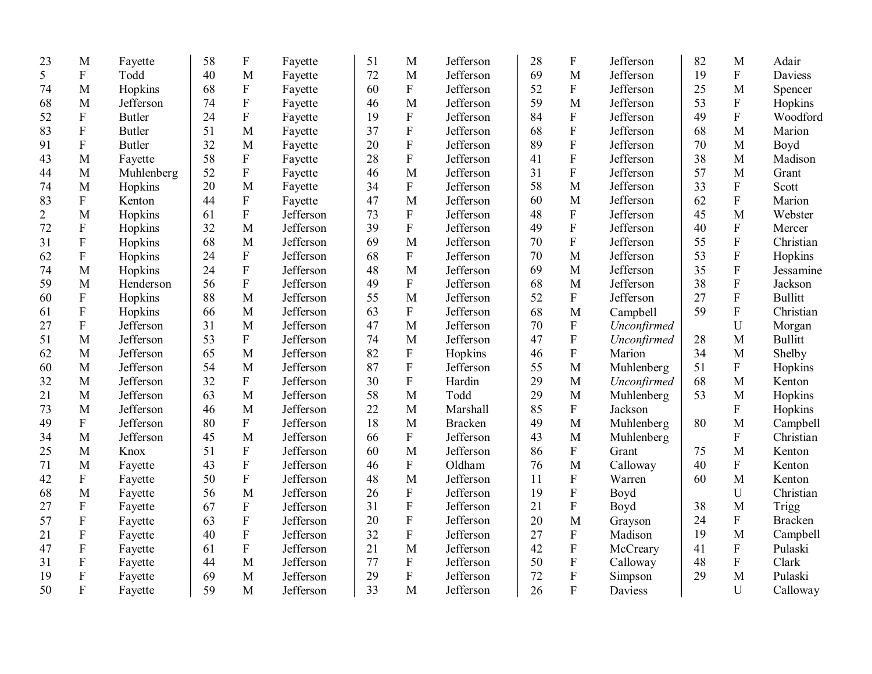| 23             | M                         | Fayette       | 58 | $\boldsymbol{\mathrm{F}}$ | Fayette   | 51 | M            | Jefferson      | 28 | F              | Jefferson   | 82 | M                         | Adair          |
|----------------|---------------------------|---------------|----|---------------------------|-----------|----|--------------|----------------|----|----------------|-------------|----|---------------------------|----------------|
| 5              | $\mathbf F$               | Todd          | 40 | M                         | Fayette   | 72 | M            | Jefferson      | 69 | M              | Jefferson   | 19 | $\mathbf F$               | <b>Daviess</b> |
| 74             | M                         | Hopkins       | 68 | ${\bf F}$                 | Fayette   | 60 | $\mathbf{F}$ | Jefferson      | 52 | $\overline{F}$ | Jefferson   | 25 | M                         | Spencer        |
| 68             | M                         | Jefferson     | 74 | $\overline{F}$            | Fayette   | 46 | M            | Jefferson      | 59 | M              | Jefferson   | 53 | ${\bf F}$                 | Hopkins        |
| 52             | ${\bf F}$                 | Butler        | 24 | ${\bf F}$                 | Fayette   | 19 | ${\bf F}$    | Jefferson      | 84 | $\mathbf F$    | Jefferson   | 49 | $\mathbf F$               | Woodford       |
| 83             | $\boldsymbol{F}$          | <b>Butler</b> | 51 | M                         | Fayette   | 37 | ${\bf F}$    | Jefferson      | 68 | $\mathbf F$    | Jefferson   | 68 | M                         | Marion         |
| 91             | $\boldsymbol{\mathrm{F}}$ | <b>Butler</b> | 32 | M                         | Fayette   | 20 | ${\bf F}$    | Jefferson      | 89 | $\mathbf F$    | Jefferson   | 70 | M                         | Boyd           |
| 43             | M                         | Fayette       | 58 | ${\bf F}$                 | Fayette   | 28 | ${\bf F}$    | Jefferson      | 41 | $\overline{F}$ | Jefferson   | 38 | M                         | Madison        |
| 44             | M                         | Muhlenberg    | 52 | $\overline{F}$            | Fayette   | 46 | M            | Jefferson      | 31 | ${\bf F}$      | Jefferson   | 57 | M                         | Grant          |
| 74             | M                         | Hopkins       | 20 | M                         | Fayette   | 34 | ${\bf F}$    | Jefferson      | 58 | M              | Jefferson   | 33 | $\mathbf F$               | Scott          |
| 83             | $\mathbf F$               | Kenton        | 44 | ${\bf F}$                 | Fayette   | 47 | M            | Jefferson      | 60 | M              | Jefferson   | 62 | $\boldsymbol{\mathrm{F}}$ | Marion         |
| $\overline{2}$ | M                         | Hopkins       | 61 | $\rm F$                   | Jefferson | 73 | ${\bf F}$    | Jefferson      | 48 | ${\bf F}$      | Jefferson   | 45 | M                         | Webster        |
| 72             | ${\bf F}$                 | Hopkins       | 32 | M                         | Jefferson | 39 | ${\bf F}$    | Jefferson      | 49 | ${\bf F}$      | Jefferson   | 40 | ${\bf F}$                 | Mercer         |
| 31             | ${\bf F}$                 | Hopkins       | 68 | M                         | Jefferson | 69 | M            | Jefferson      | 70 | ${\bf F}$      | Jefferson   | 55 | $\overline{F}$            | Christian      |
| 62             | ${\bf F}$                 | Hopkins       | 24 | ${\bf F}$                 | Jefferson | 68 | ${\bf F}$    | Jefferson      | 70 | M              | Jefferson   | 53 | $\mathbf F$               | Hopkins        |
| 74             | M                         | Hopkins       | 24 | ${\bf F}$                 | Jefferson | 48 | M            | Jefferson      | 69 | M              | Jefferson   | 35 | $\boldsymbol{\mathrm{F}}$ | Jessamine      |
| 59             | M                         | Henderson     | 56 | $\mathbf F$               | Jefferson | 49 | $\mathbf{F}$ | Jefferson      | 68 | M              | Jefferson   | 38 | $\overline{F}$            | Jackson        |
| 60             | $\boldsymbol{F}$          | Hopkins       | 88 | M                         | Jefferson | 55 | M            | Jefferson      | 52 | $\mathbf F$    | Jefferson   | 27 | $\overline{F}$            | <b>Bullitt</b> |
| 61             | ${\bf F}$                 | Hopkins       | 66 | M                         | Jefferson | 63 | ${\bf F}$    | Jefferson      | 68 | M              | Campbell    | 59 | $\boldsymbol{\mathrm{F}}$ | Christian      |
| 27             | $\overline{F}$            | Jefferson     | 31 | M                         | Jefferson | 47 | M            | Jefferson      | 70 | $\mathbf{F}$   | Unconfirmed |    | $\mathbf U$               | Morgan         |
| 51             | M                         | Jefferson     | 53 | $\overline{F}$            | Jefferson | 74 | M            | Jefferson      | 47 | $\mathbf F$    | Unconfirmed | 28 | M                         | <b>Bullitt</b> |
| 62             | M                         | Jefferson     | 65 | M                         | Jefferson | 82 | ${\bf F}$    | Hopkins        | 46 | ${\bf F}$      | Marion      | 34 | $\mathbf{M}$              | Shelby         |
| 60             | M                         | Jefferson     | 54 | M                         | Jefferson | 87 | $\rm F$      | Jefferson      | 55 | M              | Muhlenberg  | 51 | ${\bf F}$                 | Hopkins        |
| 32             | M                         | Jefferson     | 32 | ${\bf F}$                 | Jefferson | 30 | ${\bf F}$    | Hardin         | 29 | M              | Unconfirmed | 68 | $\mathbf{M}$              | Kenton         |
| 21             | M                         | Jefferson     | 63 | M                         | Jefferson | 58 | M            | Todd           | 29 | M              | Muhlenberg  | 53 | M                         | Hopkins        |
| 73             | M                         | Jefferson     | 46 | M                         | Jefferson | 22 | M            | Marshall       | 85 | $\mathbf F$    | Jackson     |    | ${\bf F}$                 | Hopkins        |
| 49             | ${\bf F}$                 | Jefferson     | 80 | ${\bf F}$                 | Jefferson | 18 | M            | <b>Bracken</b> | 49 | M              | Muhlenberg  | 80 | M                         | Campbell       |
| 34             | M                         | Jefferson     | 45 | M                         | Jefferson | 66 | ${\bf F}$    | Jefferson      | 43 | M              | Muhlenberg  |    | ${\bf F}$                 | Christian      |
| 25             | M                         | Knox          | 51 | $\rm F$                   | Jefferson | 60 | M            | Jefferson      | 86 | $\mathbf F$    | Grant       | 75 | M                         | Kenton         |
| 71             | M                         | Fayette       | 43 | $\mathbf F$               | Jefferson | 46 | ${\bf F}$    | Oldham         | 76 | M              | Calloway    | 40 | ${\bf F}$                 | Kenton         |
| 42             | ${\bf F}$                 | Fayette       | 50 | $\overline{\mathrm{F}}$   | Jefferson | 48 | $\mathbf{M}$ | Jefferson      | 11 | $\mathbf{F}$   | Warren      | 60 | M                         | Kenton         |
| 68             | M                         | Fayette       | 56 | $\overline{M}$            | Jefferson | 26 | ${\bf F}$    | Jefferson      | 19 | $\mathbf F$    | Boyd        |    | U                         | Christian      |
| 27             | ${\bf F}$                 | Fayette       | 67 | $\rm F$                   | Jefferson | 31 | $\rm F$      | Jefferson      | 21 | ${\bf F}$      | Boyd        | 38 | M                         | Trigg          |
| 57             | ${\bf F}$                 | Fayette       | 63 | $\rm F$                   | Jefferson | 20 | $\mathbf F$  | Jefferson      | 20 | M              | Grayson     | 24 | ${\bf F}$                 | <b>Bracken</b> |
| 21             | ${\bf F}$                 | Fayette       | 40 | $\rm F$                   | Jefferson | 32 | $\mathbf F$  | Jefferson      | 27 | ${\bf F}$      | Madison     | 19 | M                         | Campbell       |
| 47             | ${\bf F}$                 | Fayette       | 61 | ${\bf F}$                 | Jefferson | 21 | M            | Jefferson      | 42 | ${\bf F}$      | McCreary    | 41 | ${\bf F}$                 | Pulaski        |
| 31             | ${\bf F}$                 | Fayette       | 44 | M                         | Jefferson | 77 | $\mathbf{F}$ | Jefferson      | 50 | ${\bf F}$      | Calloway    | 48 | $\boldsymbol{\mathrm{F}}$ | Clark          |
| 19             | ${\bf F}$                 | Fayette       | 69 | M                         | Jefferson | 29 | $\mathbf{F}$ | Jefferson      | 72 | ${\bf F}$      | Simpson     | 29 | M                         | Pulaski        |
| 50             | ${\bf F}$                 | Fayette       | 59 | M                         | Jefferson | 33 | M            | Jefferson      | 26 | $\overline{F}$ | Daviess     |    | $\mathbf{U}$              | Calloway       |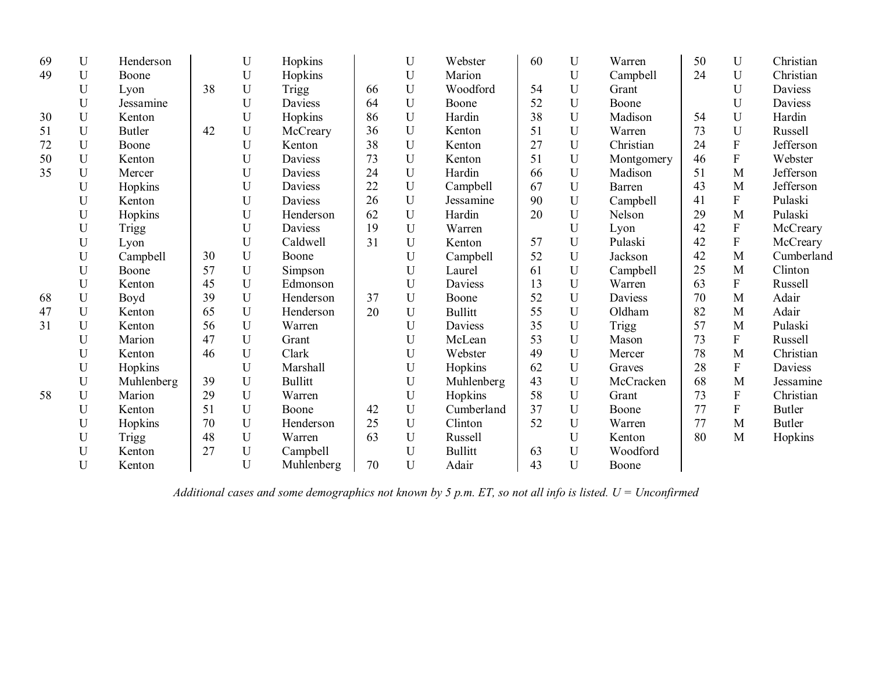| 69 | U           | Henderson     |    | U           | Hopkins        |    | U           | Webster        | 60 | U              | Warren       | 50 | U                         | Christian     |
|----|-------------|---------------|----|-------------|----------------|----|-------------|----------------|----|----------------|--------------|----|---------------------------|---------------|
| 49 | U           | Boone         |    | $\mathbf U$ | Hopkins        |    | U           | Marion         |    | $\mathbf U$    | Campbell     | 24 | $\mathbf U$               | Christian     |
|    | U           | Lyon          | 38 | U           | <b>Trigg</b>   | 66 | U           | Woodford       | 54 | U              | Grant        |    | U                         | Daviess       |
|    | U           | Jessamine     |    | U           | Daviess        | 64 | U           | Boone          | 52 | U              | Boone        |    | U                         | Daviess       |
| 30 | U           | Kenton        |    | U           | Hopkins        | 86 | U           | Hardin         | 38 | U              | Madison      | 54 | U                         | Hardin        |
| 51 | U           | <b>Butler</b> | 42 | U           | McCreary       | 36 | U           | Kenton         | 51 | U              | Warren       | 73 | U                         | Russell       |
| 72 | U           | Boone         |    | U           | Kenton         | 38 | U           | Kenton         | 27 | U              | Christian    | 24 | F                         | Jefferson     |
| 50 | U           | Kenton        |    | U           | <b>Daviess</b> | 73 | U           | Kenton         | 51 | U              | Montgomery   | 46 | F                         | Webster       |
| 35 | U           | Mercer        |    | U           | Daviess        | 24 | U           | Hardin         | 66 | $\overline{U}$ | Madison      | 51 | M                         | Jefferson     |
|    | U           | Hopkins       |    | U           | Daviess        | 22 | U           | Campbell       | 67 | U              | Barren       | 43 | M                         | Jefferson     |
|    | U           | Kenton        |    | U           | Daviess        | 26 | U           | Jessamine      | 90 | U              | Campbell     | 41 | $\mathbf F$               | Pulaski       |
|    | U           | Hopkins       |    | U           | Henderson      | 62 | U           | Hardin         | 20 | U              | Nelson       | 29 | M                         | Pulaski       |
|    | U           | <b>Trigg</b>  |    | U           | Daviess        | 19 | U           | Warren         |    | U              | Lyon         | 42 | ${\bf F}$                 | McCreary      |
|    | U           | Lyon          |    | U           | Caldwell       | 31 | U           | Kenton         | 57 | $\overline{U}$ | Pulaski      | 42 | $\overline{F}$            | McCreary      |
|    | U           | Campbell      | 30 | U           | Boone          |    | U           | Campbell       | 52 | $\overline{U}$ | Jackson      | 42 | M                         | Cumberland    |
|    | U           | Boone         | 57 | U           | Simpson        |    | U           | Laurel         | 61 | U              | Campbell     | 25 | M                         | Clinton       |
|    | U           | Kenton        | 45 | U           | Edmonson       |    | U           | Daviess        | 13 | U              | Warren       | 63 | $\mathbf F$               | Russell       |
| 68 | U           | Boyd          | 39 | $\mathbf U$ | Henderson      | 37 | U           | Boone          | 52 | U              | Daviess      | 70 | M                         | Adair         |
| 47 | U           | Kenton        | 65 | $\mathbf U$ | Henderson      | 20 | $\mathbf U$ | <b>Bullitt</b> | 55 | U              | Oldham       | 82 | M                         | Adair         |
| 31 | $\mathbf U$ | Kenton        | 56 | $\mathbf U$ | Warren         |    | U           | Daviess        | 35 | U              | <b>Trigg</b> | 57 | M                         | Pulaski       |
|    | U           | Marion        | 47 | U           | Grant          |    | U           | McLean         | 53 | $\mathbf U$    | Mason        | 73 | $\overline{F}$            | Russell       |
|    | U           | Kenton        | 46 | U           | Clark          |    | U           | Webster        | 49 | $\mathbf U$    | Mercer       | 78 | M                         | Christian     |
|    | U           | Hopkins       |    | U           | Marshall       |    | U           | Hopkins        | 62 | $\mathbf U$    | Graves       | 28 | $\boldsymbol{\mathrm{F}}$ | Daviess       |
|    | U           | Muhlenberg    | 39 | U           | <b>Bullitt</b> |    | U           | Muhlenberg     | 43 | U              | McCracken    | 68 | M                         | Jessamine     |
| 58 | $\mathbf U$ | Marion        | 29 | U           | Warren         |    | U           | Hopkins        | 58 | $\mathbf U$    | Grant        | 73 | ${\bf F}$                 | Christian     |
|    | U           | Kenton        | 51 | U           | Boone          | 42 | U           | Cumberland     | 37 | $\mathbf U$    | Boone        | 77 | ${\bf F}$                 | Butler        |
|    | U           | Hopkins       | 70 | $\mathbf U$ | Henderson      | 25 | $\mathbf U$ | Clinton        | 52 | $\mathbf U$    | Warren       | 77 | M                         | <b>Butler</b> |
|    | U           | <b>Trigg</b>  | 48 | U           | Warren         | 63 | U           | Russell        |    | $\mathbf U$    | Kenton       | 80 | M                         | Hopkins       |
|    | U           | Kenton        | 27 | $\mathbf U$ | Campbell       |    | U           | <b>Bullitt</b> | 63 | $\mathbf U$    | Woodford     |    |                           |               |
|    | $\mathbf U$ | Kenton        |    | U           | Muhlenberg     | 70 | U           | Adair          | 43 | $\mathbf U$    | Boone        |    |                           |               |

*Additional cases and some demographics not known by 5 p.m. ET, so not all info is listed. U = Unconfirmed*